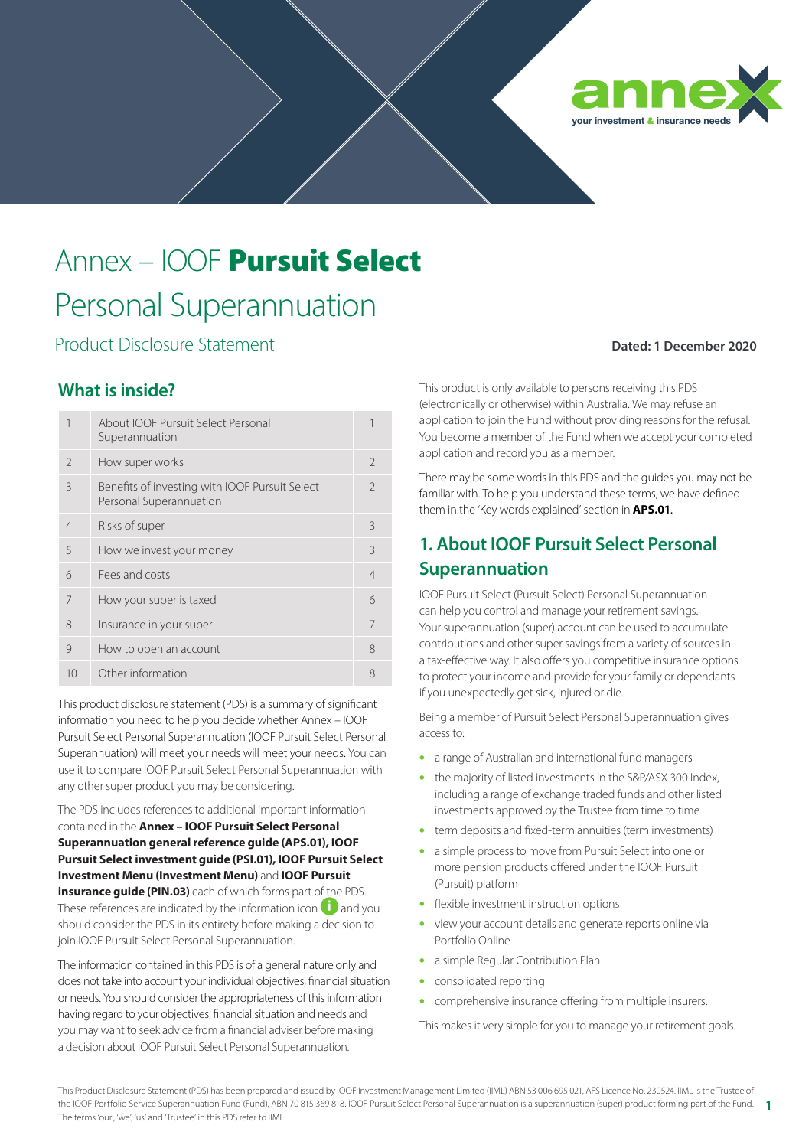

# Annex – IOOF Pursuit Select Personal Superannuation

Product Disclosure Statement

## **Dated: 1 December 2020**

## **What is inside?**

|                | About IOOF Pursuit Select Personal<br>Superannuation                      |                |
|----------------|---------------------------------------------------------------------------|----------------|
| $\mathcal{L}$  | How super works                                                           | $\mathcal{L}$  |
| $\mathcal{E}$  | Benefits of investing with IOOF Pursuit Select<br>Personal Superannuation | $\mathcal{L}$  |
| $\overline{4}$ | Risks of super                                                            | 3              |
| 5              | How we invest your money                                                  | $\mathcal{R}$  |
| 6              | Fees and costs                                                            | $\overline{4}$ |
|                | How your super is taxed                                                   | 6              |
| 8              | Insurance in your super                                                   | 7              |
| 9              | How to open an account                                                    | 8              |
| 10             | Other information                                                         | 8              |

This product disclosure statement (PDS) is a summary of significant information you need to help you decide whether Annex – IOOF Pursuit Select Personal Superannuation (IOOF Pursuit Select Personal Superannuation) will meet your needs will meet your needs. You can use it to compare IOOF Pursuit Select Personal Superannuation with any other super product you may be considering.

The PDS includes references to additional important information contained in the **Annex – IOOF Pursuit Select Personal Superannuation general reference guide (APS.01), IOOF Pursuit Select investment guide (PSI.01), IOOF Pursuit Select Investment Menu (Investment Menu)** and **IOOF Pursuit insurance guide (PIN.03)** each of which forms part of the PDS. These references are indicated by the information icon  $\mathbf i$  and you should consider the PDS in its entirety before making a decision to join IOOF Pursuit Select Personal Superannuation.

The information contained in this PDS is of a general nature only and does not take into account your individual objectives, financial situation or needs. You should consider the appropriateness of this information having regard to your objectives, financial situation and needs and you may want to seek advice from a financial adviser before making a decision about IOOF Pursuit Select Personal Superannuation.

This product is only available to persons receiving this PDS (electronically or otherwise) within Australia. We may refuse an application to join the Fund without providing reasons for the refusal. You become a member of the Fund when we accept your completed application and record you as a member.

There may be some words in this PDS and the guides you may not be familiar with. To help you understand these terms, we have defined them in the 'Key words explained' section in **APS.01**.

# **1. About IOOF Pursuit Select Personal Superannuation**

IOOF Pursuit Select (Pursuit Select) Personal Superannuation can help you control and manage your retirement savings. Your superannuation (super) account can be used to accumulate contributions and other super savings from a variety of sources in a tax-effective way. It also offers you competitive insurance options to protect your income and provide for your family or dependants if you unexpectedly get sick, injured or die.

Being a member of Pursuit Select Personal Superannuation gives access to:

- a range of Australian and international fund managers
- the majority of listed investments in the S&P/ASX 300 Index, including a range of exchange traded funds and other listed investments approved by the Trustee from time to time
- term deposits and fixed-term annuities (term investments)
- a simple process to move from Pursuit Select into one or more pension products offered under the IOOF Pursuit (Pursuit) platform
- flexible investment instruction options
- view your account details and generate reports online via Portfolio Online
- a simple Regular Contribution Plan
- consolidated reporting
- comprehensive insurance offering from multiple insurers.

This makes it very simple for you to manage your retirement goals.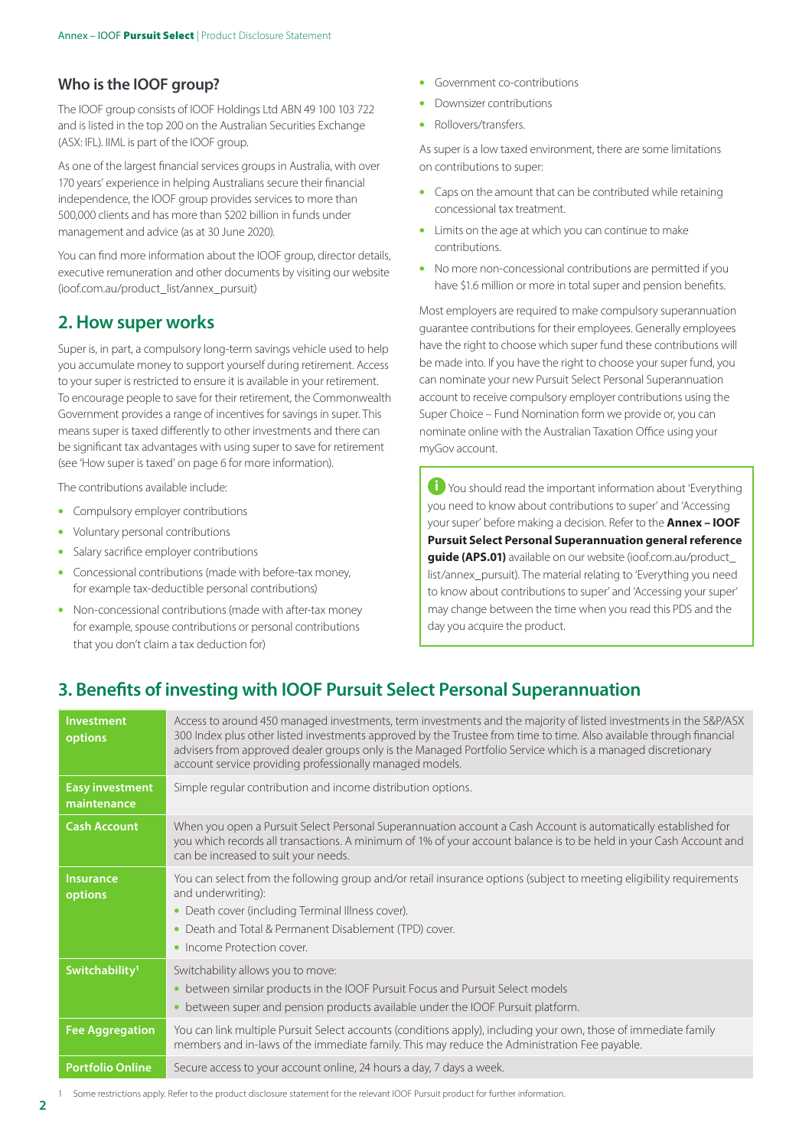#### **Who is the IOOF group?**

The IOOF group consists of IOOF Holdings Ltd ABN 49 100 103 722 and is listed in the top 200 on the Australian Securities Exchange (ASX: IFL). IIML is part of the IOOF group.

As one of the largest financial services groups in Australia, with over 170 years' experience in helping Australians secure their financial independence, the IOOF group provides services to more than 500,000 clients and has more than \$202 billion in funds under management and advice (as at 30 June 2020).

You can find more information about the IOOF group, director details, executive remuneration and other documents by visiting our website (ioof.com.au/product\_list/annex\_pursuit)

## **2. How super works**

Super is, in part, a compulsory long-term savings vehicle used to help you accumulate money to support yourself during retirement. Access to your super is restricted to ensure it is available in your retirement. To encourage people to save for their retirement, the Commonwealth Government provides a range of incentives for savings in super. This means super is taxed differently to other investments and there can be significant tax advantages with using super to save for retirement (see 'How super is taxed' on page 6 for more information).

The contributions available include:

- Compulsory employer contributions
- Voluntary personal contributions
- Salary sacrifice employer contributions
- Concessional contributions (made with before-tax money, for example tax-deductible personal contributions)
- Non-concessional contributions (made with after-tax money for example, spouse contributions or personal contributions that you don't claim a tax deduction for)
- Government co-contributions
- Downsizer contributions
- Rollovers/transfers.

As super is a low taxed environment, there are some limitations on contributions to super:

- Caps on the amount that can be contributed while retaining concessional tax treatment.
- Limits on the age at which you can continue to make contributions.
- No more non-concessional contributions are permitted if you have \$1.6 million or more in total super and pension benefits.

Most employers are required to make compulsory superannuation guarantee contributions for their employees. Generally employees have the right to choose which super fund these contributions will be made into. If you have the right to choose your super fund, you can nominate your new Pursuit Select Personal Superannuation account to receive compulsory employer contributions using the Super Choice – Fund Nomination form we provide or, you can nominate online with the Australian Taxation Office using your myGov account.

**i** You should read the important information about 'Everything' you need to know about contributions to super' and 'Accessing your super' before making a decision. Refer to the **Annex – IOOF Pursuit Select Personal Superannuation general reference guide (APS.01)** available on our website (ioof.com.au/product\_ list/annex\_pursuit). The material relating to 'Everything you need to know about contributions to super' and 'Accessing your super' may change between the time when you read this PDS and the day you acquire the product.

## **3. Benefits of investing with IOOF Pursuit Select Personal Superannuation**

| Investment<br>options                 | Access to around 450 managed investments, term investments and the majority of listed investments in the S&P/ASX<br>300 Index plus other listed investments approved by the Trustee from time to time. Also available through financial<br>advisers from approved dealer groups only is the Managed Portfolio Service which is a managed discretionary<br>account service providing professionally managed models. |
|---------------------------------------|--------------------------------------------------------------------------------------------------------------------------------------------------------------------------------------------------------------------------------------------------------------------------------------------------------------------------------------------------------------------------------------------------------------------|
| <b>Easy investment</b><br>maintenance | Simple regular contribution and income distribution options.                                                                                                                                                                                                                                                                                                                                                       |
| <b>Cash Account</b>                   | When you open a Pursuit Select Personal Superannuation account a Cash Account is automatically established for<br>you which records all transactions. A minimum of 1% of your account balance is to be held in your Cash Account and<br>can be increased to suit your needs.                                                                                                                                       |
| <b>Insurance</b><br>options           | You can select from the following group and/or retail insurance options (subject to meeting eligibility requirements<br>and underwriting):<br>• Death cover (including Terminal Illness cover).<br>• Death and Total & Permanent Disablement (TPD) cover.<br>• Income Protection cover.                                                                                                                            |
| Switchability <sup>1</sup>            | Switchability allows you to move:<br>between similar products in the IOOF Pursuit Focus and Pursuit Select models<br>$\bullet$<br>between super and pension products available under the IOOF Pursuit platform.                                                                                                                                                                                                    |
| <b>Fee Aggregation</b>                | You can link multiple Pursuit Select accounts (conditions apply), including your own, those of immediate family<br>members and in-laws of the immediate family. This may reduce the Administration Fee payable.                                                                                                                                                                                                    |
| <b>Portfolio Online</b>               | Secure access to your account online, 24 hours a day, 7 days a week.                                                                                                                                                                                                                                                                                                                                               |

Some restrictions apply. Refer to the product disclosure statement for the relevant IOOF Pursuit product for further information.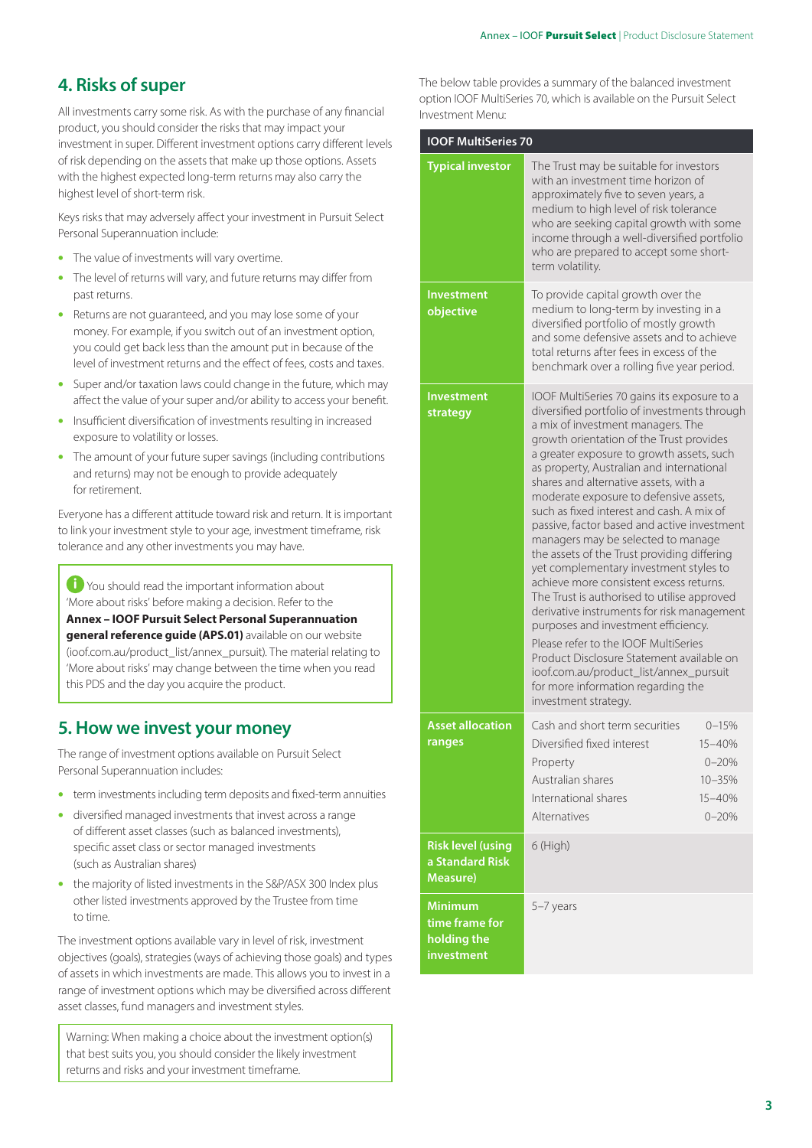# **4. Risks of super**

All investments carry some risk. As with the purchase of any financial product, you should consider the risks that may impact your investment in super. Different investment options carry different levels of risk depending on the assets that make up those options. Assets with the highest expected long-term returns may also carry the highest level of short-term risk.

Keys risks that may adversely affect your investment in Pursuit Select Personal Superannuation include:

- The value of investments will vary overtime.
- The level of returns will vary, and future returns may differ from past returns.
- Returns are not guaranteed, and you may lose some of your money. For example, if you switch out of an investment option, you could get back less than the amount put in because of the level of investment returns and the effect of fees, costs and taxes.
- Super and/or taxation laws could change in the future, which may affect the value of your super and/or ability to access your benefit.
- Insufficient diversification of investments resulting in increased exposure to volatility or losses.
- The amount of your future super savings (including contributions and returns) may not be enough to provide adequately for retirement.

Everyone has a different attitude toward risk and return. It is important to link your investment style to your age, investment timeframe, risk tolerance and any other investments you may have.

**i** You should read the important information about 'More about risks' before making a decision. Refer to the **Annex – IOOF Pursuit Select Personal Superannuation general reference guide (APS.01)** available on our website (ioof.com.au/product\_list/annex\_pursuit). The material relating to 'More about risks' may change between the time when you read this PDS and the day you acquire the product.

# **5. How we invest your money**

The range of investment options available on Pursuit Select Personal Superannuation includes:

- term investments including term deposits and fixed-term annuities
- diversified managed investments that invest across a range of different asset classes (such as balanced investments), specific asset class or sector managed investments (such as Australian shares)
- the majority of listed investments in the S&P/ASX 300 Index plus other listed investments approved by the Trustee from time to time.

The investment options available vary in level of risk, investment objectives (goals), strategies (ways of achieving those goals) and types of assets in which investments are made. This allows you to invest in a range of investment options which may be diversified across different asset classes, fund managers and investment styles.

Warning: When making a choice about the investment option(s) that best suits you, you should consider the likely investment returns and risks and your investment timeframe.

The below table provides a summary of the balanced investment option IOOF MultiSeries 70, which is available on the Pursuit Select Investment Menu:

| <b>IOOF MultiSeries 70</b>                                    |                                                                                                                                                                                                                                                                                                                                                                                                                                                                                                                                                                                                                                                                                                                                                                                                                                                                                                                                          |                                                                       |
|---------------------------------------------------------------|------------------------------------------------------------------------------------------------------------------------------------------------------------------------------------------------------------------------------------------------------------------------------------------------------------------------------------------------------------------------------------------------------------------------------------------------------------------------------------------------------------------------------------------------------------------------------------------------------------------------------------------------------------------------------------------------------------------------------------------------------------------------------------------------------------------------------------------------------------------------------------------------------------------------------------------|-----------------------------------------------------------------------|
| <b>Typical investor</b>                                       | The Trust may be suitable for investors<br>with an investment time horizon of<br>approximately five to seven years, a<br>medium to high level of risk tolerance<br>who are seeking capital growth with some<br>income through a well-diversified portfolio<br>who are prepared to accept some short-<br>term volatility.                                                                                                                                                                                                                                                                                                                                                                                                                                                                                                                                                                                                                 |                                                                       |
| Investment<br>objective                                       | To provide capital growth over the<br>medium to long-term by investing in a<br>diversified portfolio of mostly growth<br>and some defensive assets and to achieve<br>total returns after fees in excess of the<br>benchmark over a rolling five year period.                                                                                                                                                                                                                                                                                                                                                                                                                                                                                                                                                                                                                                                                             |                                                                       |
| <b>Investment</b><br>strategy                                 | IOOF MultiSeries 70 gains its exposure to a<br>diversified portfolio of investments through<br>a mix of investment managers. The<br>growth orientation of the Trust provides<br>a greater exposure to growth assets, such<br>as property, Australian and international<br>shares and alternative assets, with a<br>moderate exposure to defensive assets,<br>such as fixed interest and cash. A mix of<br>passive, factor based and active investment<br>managers may be selected to manage<br>the assets of the Trust providing differing<br>yet complementary investment styles to<br>achieve more consistent excess returns.<br>The Trust is authorised to utilise approved<br>derivative instruments for risk management<br>purposes and investment efficiency.<br>Please refer to the IOOF MultiSeries<br>Product Disclosure Statement available on<br>ioof.com.au/product_list/annex_pursuit<br>for more information regarding the |                                                                       |
| <b>Asset allocation</b><br>ranges                             | investment strategy.<br>Cash and short term securities<br>Diversified fixed interest<br>Property<br>Australian shares<br>International shares<br>Alternatives                                                                                                                                                                                                                                                                                                                                                                                                                                                                                                                                                                                                                                                                                                                                                                            | $0 - 15%$<br>$15 - 40%$<br>$0 - 20%$<br>10-35%<br>15-40%<br>$0 - 20%$ |
| <b>Risk level (using</b><br>a Standard Risk<br>Measure)       | 6 (High)                                                                                                                                                                                                                                                                                                                                                                                                                                                                                                                                                                                                                                                                                                                                                                                                                                                                                                                                 |                                                                       |
| <b>Minimum</b><br>time frame for<br>holding the<br>investment | 5-7 years                                                                                                                                                                                                                                                                                                                                                                                                                                                                                                                                                                                                                                                                                                                                                                                                                                                                                                                                |                                                                       |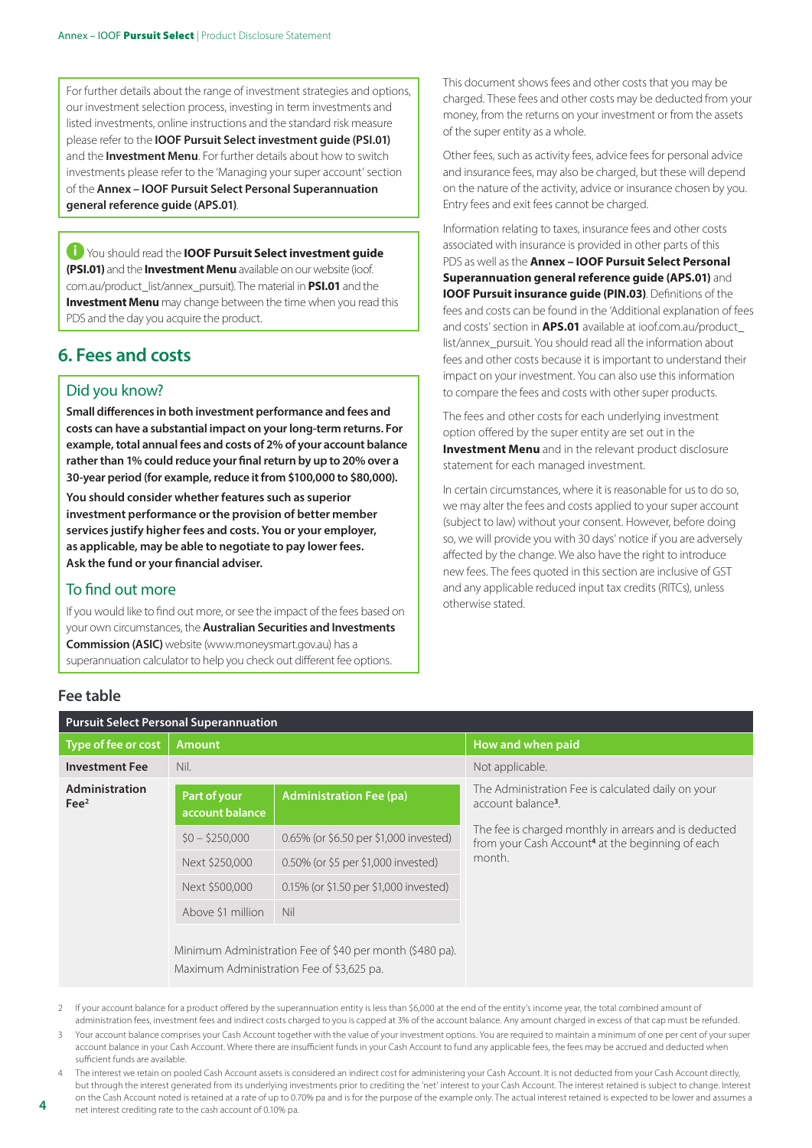For further details about the range of investment strategies and options, our investment selection process, investing in term investments and listed investments, online instructions and the standard risk measure please refer to the **IOOF Pursuit Select investment guide (PSI.01)**  and the **Investment Menu**. For further details about how to switch investments please refer to the 'Managing your super account' section of the **Annex – IOOF Pursuit Select Personal Superannuation general reference guide (APS.01)**.

i You should read the **IOOF Pursuit Select investment guide (PSI.01)** and the **Investment Menu** available on our website (ioof. com.au/product\_list/annex\_pursuit). The material in **PSI.01** and the **Investment Menu** may change between the time when you read this PDS and the day you acquire the product.

# **6. Fees and costs**

#### Did you know?

**Small differences in both investment performance and fees and costs can have a substantial impact on your long-term returns. For example, total annual fees and costs of 2% of your account balance rather than 1% could reduce your final return by up to 20% over a 30-year period (for example, reduce it from \$100,000 to \$80,000).**

**You should consider whether features such as superior investment performance or the provision of better member services justify higher fees and costs. You or your employer, as applicable, may be able to negotiate to pay lower fees. Ask the fund or your financial adviser.**

#### To find out more

If you would like to find out more, or see the impact of the fees based on your own circumstances, the **Australian Securities and Investments Commission (ASIC)** website (www.moneysmart.gov.au) has a superannuation calculator to help you check out different fee options.

This document shows fees and other costs that you may be charged. These fees and other costs may be deducted from your money, from the returns on your investment or from the assets of the super entity as a whole.

Other fees, such as activity fees, advice fees for personal advice and insurance fees, may also be charged, but these will depend on the nature of the activity, advice or insurance chosen by you. Entry fees and exit fees cannot be charged.

Information relating to taxes, insurance fees and other costs associated with insurance is provided in other parts of this PDS as well as the **Annex – IOOF Pursuit Select Personal Superannuation general reference guide (APS.01)** and **IOOF Pursuit insurance guide (PIN.03)**. Definitions of the fees and costs can be found in the 'Additional explanation of fees and costs' section in **APS.01** available at ioof.com.au/product\_ list/annex\_pursuit. You should read all the information about fees and other costs because it is important to understand their impact on your investment. You can also use this information to compare the fees and costs with other super products.

The fees and other costs for each underlying investment option offered by the super entity are set out in the **Investment Menu** and in the relevant product disclosure statement for each managed investment.

In certain circumstances, where it is reasonable for us to do so, we may alter the fees and costs applied to your super account (subject to law) without your consent. However, before doing so, we will provide you with 30 days' notice if you are adversely affected by the change. We also have the right to introduce new fees. The fees quoted in this section are inclusive of GST and any applicable reduced input tax credits (RITCs), unless otherwise stated.

#### **Fee table**

| <b>Pursuit Select Personal Superannuation</b> |                                 |                                                          |                                                                                                                       |
|-----------------------------------------------|---------------------------------|----------------------------------------------------------|-----------------------------------------------------------------------------------------------------------------------|
| Type of fee or cost                           | <b>Amount</b>                   |                                                          | How and when paid                                                                                                     |
| <b>Investment Fee</b>                         | Nil.                            |                                                          | Not applicable.                                                                                                       |
| Administration<br>$\text{Fe}^2$               | Part of your<br>account balance | <b>Administration Fee (pa)</b>                           | The Administration Fee is calculated daily on your<br>account balance <sup>3</sup> .                                  |
|                                               | $50 - 5250.000$                 | 0.65% (or \$6.50 per \$1,000 invested)                   | The fee is charged monthly in arrears and is deducted<br>from your Cash Account <sup>4</sup> at the beginning of each |
|                                               | Next \$250,000                  | 0.50% (or \$5 per \$1,000 invested)                      | month.                                                                                                                |
|                                               | Next \$500,000                  | 0.15% (or \$1.50 per \$1,000 invested)                   |                                                                                                                       |
|                                               | Above \$1 million               | Nil                                                      |                                                                                                                       |
|                                               |                                 | Minimum Administration Fee of \$40 per month (\$480 pa). |                                                                                                                       |

2 If your account balance for a product offered by the superannuation entity is less than \$6,000 at the end of the entity's income year, the total combined amount of

Maximum Administration Fee of \$3,625 pa.

administration fees, investment fees and indirect costs charged to you is capped at 3% of the account balance. Any amount charged in excess of that cap must be refunded. 3 Your account balance comprises your Cash Account together with the value of your investment options. You are required to maintain a minimum of one per cent of your super account balance in your Cash Account. Where there are insufficient funds in your Cash Account to fund any applicable fees, the fees may be accrued and deducted when sufficient funds are available.

4 The interest we retain on pooled Cash Account assets is considered an indirect cost for administering your Cash Account. It is not deducted from your Cash Account directly, but through the interest generated from its underlying investments prior to crediting the 'net' interest to your Cash Account. The interest retained is subject to change. Interest on the Cash Account noted is retained at a rate of up to 0.70% pa and is for the purpose of the example only. The actual interest retained is expected to be lower and assumes a net interest crediting rate to the cash account of 0.10% pa.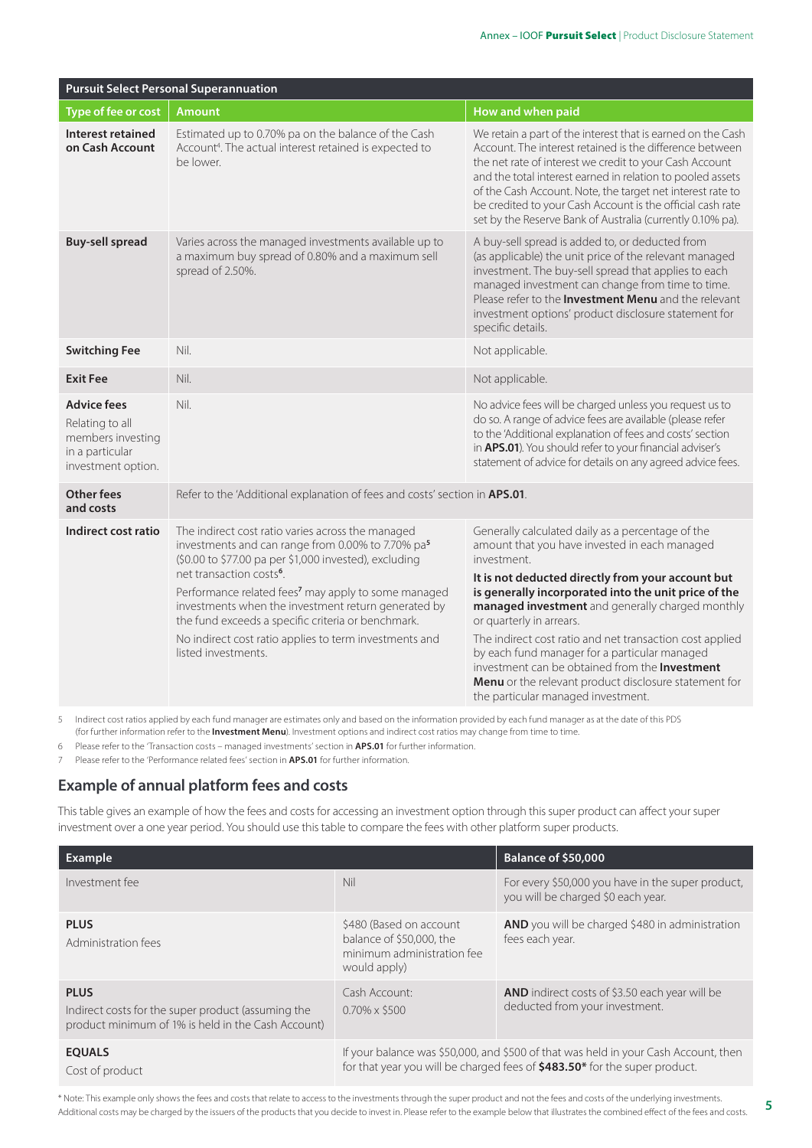| <b>Pursuit Select Personal Superannuation</b>                                                       |                                                                                                                                                                                                                                                                                                                                                                                                                                                                                       |                                                                                                                                                                                                                                                                                                                                                                                                                                                                                                                                                                              |
|-----------------------------------------------------------------------------------------------------|---------------------------------------------------------------------------------------------------------------------------------------------------------------------------------------------------------------------------------------------------------------------------------------------------------------------------------------------------------------------------------------------------------------------------------------------------------------------------------------|------------------------------------------------------------------------------------------------------------------------------------------------------------------------------------------------------------------------------------------------------------------------------------------------------------------------------------------------------------------------------------------------------------------------------------------------------------------------------------------------------------------------------------------------------------------------------|
| Type of fee or cost                                                                                 | <b>Amount</b>                                                                                                                                                                                                                                                                                                                                                                                                                                                                         | How and when paid                                                                                                                                                                                                                                                                                                                                                                                                                                                                                                                                                            |
| Interest retained<br>on Cash Account                                                                | Estimated up to 0.70% pa on the balance of the Cash<br>Account <sup>4</sup> . The actual interest retained is expected to<br>be lower.                                                                                                                                                                                                                                                                                                                                                | We retain a part of the interest that is earned on the Cash<br>Account. The interest retained is the difference between<br>the net rate of interest we credit to your Cash Account<br>and the total interest earned in relation to pooled assets<br>of the Cash Account. Note, the target net interest rate to<br>be credited to your Cash Account is the official cash rate<br>set by the Reserve Bank of Australia (currently 0.10% pa).                                                                                                                                   |
| <b>Buy-sell spread</b>                                                                              | Varies across the managed investments available up to<br>a maximum buy spread of 0.80% and a maximum sell<br>spread of 2.50%.                                                                                                                                                                                                                                                                                                                                                         | A buy-sell spread is added to, or deducted from<br>(as applicable) the unit price of the relevant managed<br>investment. The buy-sell spread that applies to each<br>managed investment can change from time to time.<br>Please refer to the Investment Menu and the relevant<br>investment options' product disclosure statement for<br>specific details.                                                                                                                                                                                                                   |
| <b>Switching Fee</b>                                                                                | Nil.                                                                                                                                                                                                                                                                                                                                                                                                                                                                                  | Not applicable.                                                                                                                                                                                                                                                                                                                                                                                                                                                                                                                                                              |
| <b>Exit Fee</b>                                                                                     | Nil.                                                                                                                                                                                                                                                                                                                                                                                                                                                                                  | Not applicable.                                                                                                                                                                                                                                                                                                                                                                                                                                                                                                                                                              |
| <b>Advice fees</b><br>Relating to all<br>members investing<br>in a particular<br>investment option. | Nil.                                                                                                                                                                                                                                                                                                                                                                                                                                                                                  | No advice fees will be charged unless you request us to<br>do so. A range of advice fees are available (please refer<br>to the 'Additional explanation of fees and costs' section<br>in APS.01). You should refer to your financial adviser's<br>statement of advice for details on any agreed advice fees.                                                                                                                                                                                                                                                                  |
| <b>Other fees</b><br>and costs                                                                      | Refer to the 'Additional explanation of fees and costs' section in APS.01.                                                                                                                                                                                                                                                                                                                                                                                                            |                                                                                                                                                                                                                                                                                                                                                                                                                                                                                                                                                                              |
| Indirect cost ratio                                                                                 | The indirect cost ratio varies across the managed<br>investments and can range from 0.00% to 7.70% pa <sup>5</sup><br>(\$0.00 to \$77.00 pa per \$1,000 invested), excluding<br>net transaction costs <sup>6</sup> .<br>Performance related fees <sup>7</sup> may apply to some managed<br>investments when the investment return generated by<br>the fund exceeds a specific criteria or benchmark.<br>No indirect cost ratio applies to term investments and<br>listed investments. | Generally calculated daily as a percentage of the<br>amount that you have invested in each managed<br>investment.<br>It is not deducted directly from your account but<br>is generally incorporated into the unit price of the<br>managed investment and generally charged monthly<br>or quarterly in arrears.<br>The indirect cost ratio and net transaction cost applied<br>by each fund manager for a particular managed<br>investment can be obtained from the Investment<br>Menu or the relevant product disclosure statement for<br>the particular managed investment. |

5 Indirect cost ratios applied by each fund manager are estimates only and based on the information provided by each fund manager as at the date of this PDS (for further information refer to the **Investment Menu**). Investment options and indirect cost ratios may change from time to time.

6 Please refer to the 'Transaction costs – managed investments' section in **APS.01** for further information.

7 Please refer to the 'Performance related fees' section in **APS.01** for further information.

#### **Example of annual platform fees and costs**

This table gives an example of how the fees and costs for accessing an investment option through this super product can affect your super investment over a one year period. You should use this table to compare the fees with other platform super products.

| <b>Example</b>                                                                                                          |                                                                                                                                                                   | <b>Balance of \$50,000</b>                                                              |
|-------------------------------------------------------------------------------------------------------------------------|-------------------------------------------------------------------------------------------------------------------------------------------------------------------|-----------------------------------------------------------------------------------------|
| Investment fee                                                                                                          | Nil                                                                                                                                                               | For every \$50,000 you have in the super product,<br>you will be charged \$0 each year. |
| <b>PLUS</b><br>Administration fees                                                                                      | \$480 (Based on account<br>balance of \$50,000, the<br>minimum administration fee<br>would apply)                                                                 | AND you will be charged \$480 in administration<br>fees each year.                      |
| <b>PLUS</b><br>Indirect costs for the super product (assuming the<br>product minimum of 1% is held in the Cash Account) | Cash Account:<br>$0.70\% \times$ \$500                                                                                                                            | AND indirect costs of \$3.50 each year will be<br>deducted from your investment.        |
| <b>EQUALS</b><br>Cost of product                                                                                        | If your balance was \$50,000, and \$500 of that was held in your Cash Account, then<br>for that year you will be charged fees of \$483.50* for the super product. |                                                                                         |

\* Note: This example only shows the fees and costs that relate to access to the investments through the super product and not the fees and costs of the underlying investments. Additional costs may be charged by the issuers of the products that you decide to invest in. Please refer to the example below that illustrates the combined effect of the fees and costs.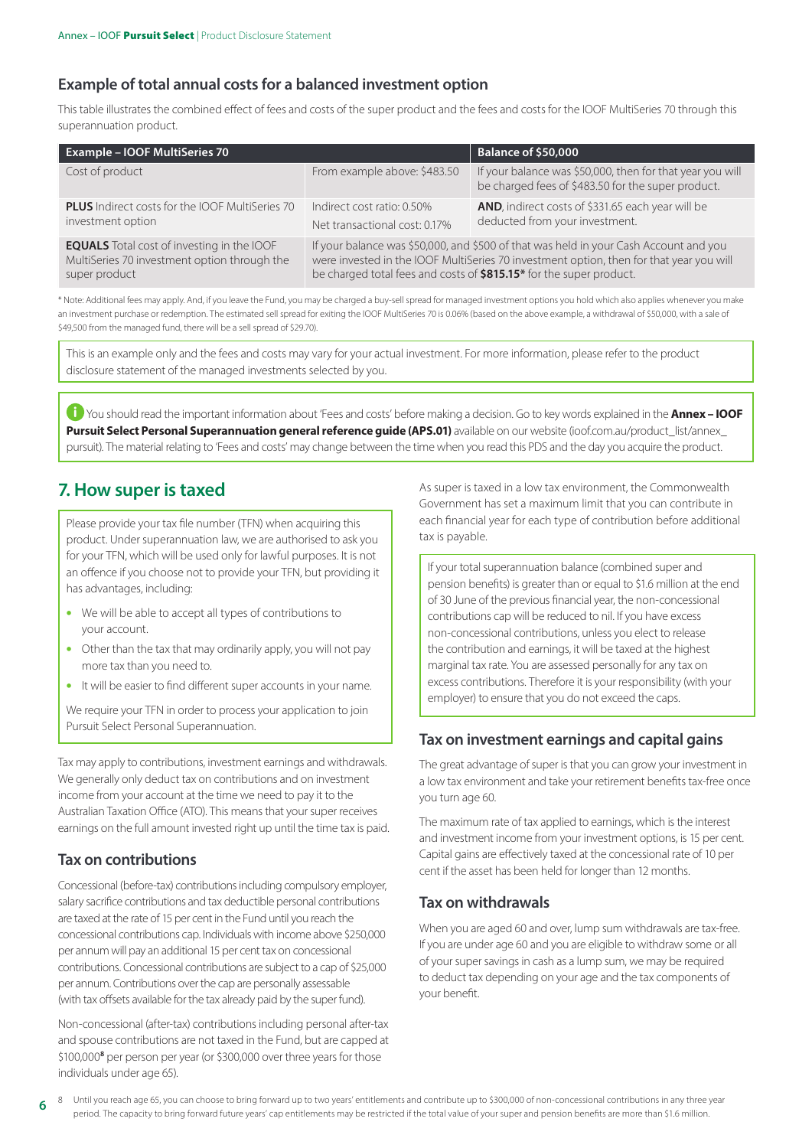#### **Example of total annual costs for a balanced investment option**

This table illustrates the combined effect of fees and costs of the super product and the fees and costs for the IOOF MultiSeries 70 through this superannuation product.

| <b>Example - IOOF MultiSeries 70</b>                   |                                                                                         | <b>Balance of \$50,000</b>                                                                                      |
|--------------------------------------------------------|-----------------------------------------------------------------------------------------|-----------------------------------------------------------------------------------------------------------------|
| Cost of product                                        | From example above: \$483.50                                                            | If your balance was \$50,000, then for that year you will<br>be charged fees of \$483.50 for the super product. |
| <b>PLUS</b> Indirect costs for the IOOF MultiSeries 70 | Indirect cost ratio: 0.50%                                                              | AND, indirect costs of \$331.65 each year will be                                                               |
| investment option                                      | Net transactional cost: 0.17%                                                           | deducted from your investment.                                                                                  |
| <b>EQUALS</b> Total cost of investing in the IOOF      | If your balance was \$50,000, and \$500 of that was held in your Cash Account and you   |                                                                                                                 |
| MultiSeries 70 investment option through the           | were invested in the IOOF MultiSeries 70 investment option, then for that year you will |                                                                                                                 |
| super product                                          | be charged total fees and costs of \$815.15* for the super product.                     |                                                                                                                 |

\* Note: Additional fees may apply. And, if you leave the Fund, you may be charged a buy-sell spread for managed investment options you hold which also applies whenever you make an investment purchase or redemption. The estimated sell spread for exiting the IOOF MultiSeries 70 is 0.06% (based on the above example, a withdrawal of \$50,000, with a sale of \$49,500 from the managed fund, there will be a sell spread of \$29.70).

This is an example only and the fees and costs may vary for your actual investment. For more information, please refer to the product disclosure statement of the managed investments selected by you.

i You should read the important information about 'Fees and costs' before making a decision. Go to key words explained in the **Annex – IOOF Pursuit Select Personal Superannuation general reference guide (APS.01)** available on our website (ioof.com.au/product\_list/annex\_ pursuit). The material relating to 'Fees and costs' may change between the time when you read this PDS and the day you acquire the product.

## **7. How super is taxed**

Please provide your tax file number (TFN) when acquiring this product. Under superannuation law, we are authorised to ask you for your TFN, which will be used only for lawful purposes. It is not an offence if you choose not to provide your TFN, but providing it has advantages, including:

- We will be able to accept all types of contributions to your account.
- Other than the tax that may ordinarily apply, you will not pay more tax than you need to.
- It will be easier to find different super accounts in your name.

We require your TFN in order to process your application to join Pursuit Select Personal Superannuation.

Tax may apply to contributions, investment earnings and withdrawals. We generally only deduct tax on contributions and on investment income from your account at the time we need to pay it to the Australian Taxation Office (ATO). This means that your super receives earnings on the full amount invested right up until the time tax is paid.

#### **Tax on contributions**

Concessional (before-tax) contributions including compulsory employer, salary sacrifice contributions and tax deductible personal contributions are taxed at the rate of 15 per cent in the Fund until you reach the concessional contributions cap. Individuals with income above \$250,000 per annum will pay an additional 15 per cent tax on concessional contributions. Concessional contributions are subject to a cap of \$25,000 per annum. Contributions over the cap are personally assessable (with tax offsets available for the tax already paid by the super fund).

Non-concessional (after-tax) contributions including personal after-tax and spouse contributions are not taxed in the Fund, but are capped at \$100,000<sup>8</sup> per person per year (or \$300,000 over three years for those individuals under age 65).

As super is taxed in a low tax environment, the Commonwealth Government has set a maximum limit that you can contribute in each financial year for each type of contribution before additional tax is payable.

If your total superannuation balance (combined super and pension benefits) is greater than or equal to \$1.6 million at the end of 30 June of the previous financial year, the non-concessional contributions cap will be reduced to nil. If you have excess non-concessional contributions, unless you elect to release the contribution and earnings, it will be taxed at the highest marginal tax rate. You are assessed personally for any tax on excess contributions. Therefore it is your responsibility (with your employer) to ensure that you do not exceed the caps.

#### **Tax on investment earnings and capital gains**

The great advantage of super is that you can grow your investment in a low tax environment and take your retirement benefits tax-free once you turn age 60.

The maximum rate of tax applied to earnings, which is the interest and investment income from your investment options, is 15 per cent. Capital gains are effectively taxed at the concessional rate of 10 per cent if the asset has been held for longer than 12 months.

#### **Tax on withdrawals**

When you are aged 60 and over, lump sum withdrawals are tax-free. If you are under age 60 and you are eligible to withdraw some or all of your super savings in cash as a lump sum, we may be required to deduct tax depending on your age and the tax components of your benefit.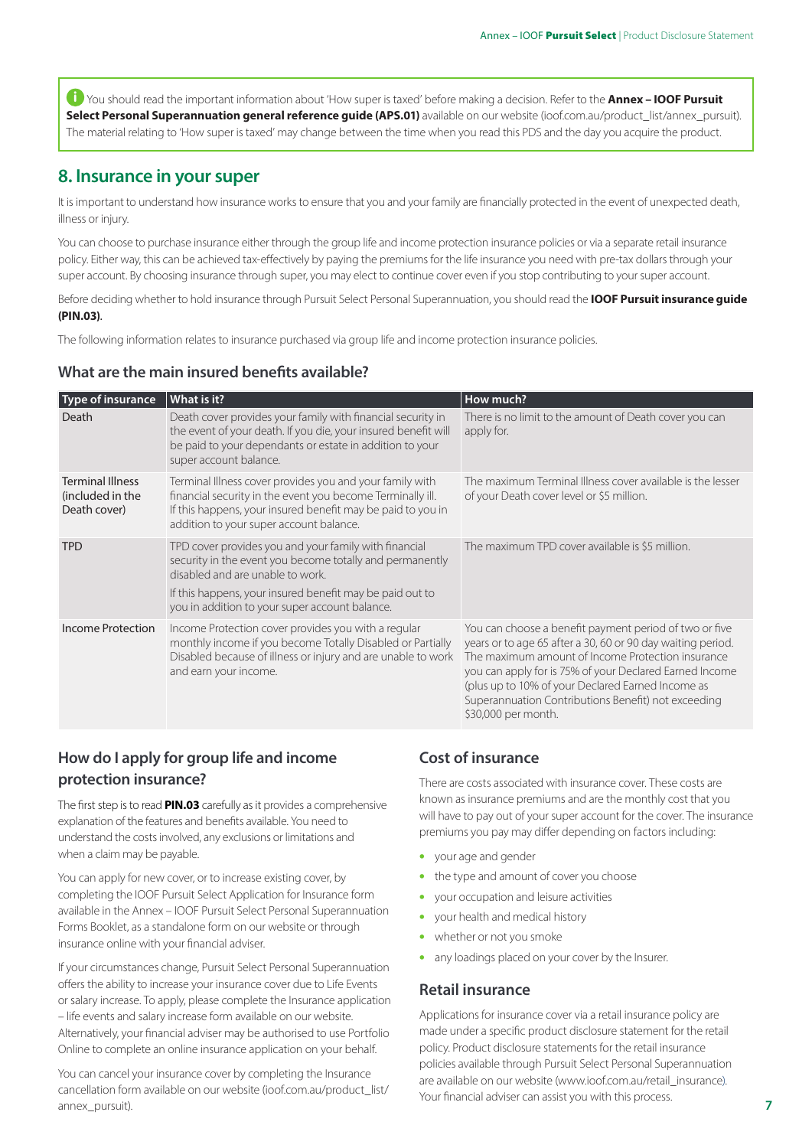i You should read the important information about 'How super is taxed' before making a decision. Refer to the **Annex – IOOF Pursuit Select Personal Superannuation general reference guide (APS.01)** available on our website (ioof.com.au/product\_list/annex\_pursuit). The material relating to 'How super is taxed' may change between the time when you read this PDS and the day you acquire the product.

## **8. Insurance in your super**

It is important to understand how insurance works to ensure that you and your family are financially protected in the event of unexpected death, illness or injury.

You can choose to purchase insurance either through the group life and income protection insurance policies or via a separate retail insurance policy. Either way, this can be achieved tax-effectively by paying the premiums for the life insurance you need with pre-tax dollars through your super account. By choosing insurance through super, you may elect to continue cover even if you stop contributing to your super account.

Before deciding whether to hold insurance through Pursuit Select Personal Superannuation, you should read the **IOOF Pursuit insurance guide (PIN.03)**.

The following information relates to insurance purchased via group life and income protection insurance policies.

#### **What are the main insured benefits available?**

| Type of insurance                                           | What is it?                                                                                                                                                                                                                                                         | How much?                                                                                                                                                                                                                                                                                                                                                                |
|-------------------------------------------------------------|---------------------------------------------------------------------------------------------------------------------------------------------------------------------------------------------------------------------------------------------------------------------|--------------------------------------------------------------------------------------------------------------------------------------------------------------------------------------------------------------------------------------------------------------------------------------------------------------------------------------------------------------------------|
| Death                                                       | Death cover provides your family with financial security in<br>the event of your death. If you die, your insured benefit will<br>be paid to your dependants or estate in addition to your<br>super account balance.                                                 | There is no limit to the amount of Death cover you can<br>apply for.                                                                                                                                                                                                                                                                                                     |
| <b>Terminal Illness</b><br>(included in the<br>Death cover) | Terminal Illness cover provides you and your family with<br>financial security in the event you become Terminally ill.<br>If this happens, your insured benefit may be paid to you in<br>addition to your super account balance.                                    | The maximum Terminal Illness cover available is the lesser<br>of your Death cover level or \$5 million.                                                                                                                                                                                                                                                                  |
| <b>TPD</b>                                                  | TPD cover provides you and your family with financial<br>security in the event you become totally and permanently<br>disabled and are unable to work.<br>If this happens, your insured benefit may be paid out to<br>you in addition to your super account balance. | The maximum TPD cover available is \$5 million.                                                                                                                                                                                                                                                                                                                          |
| Income Protection                                           | Income Protection cover provides you with a regular<br>monthly income if you become Totally Disabled or Partially<br>Disabled because of illness or injury and are unable to work<br>and earn your income.                                                          | You can choose a benefit payment period of two or five<br>years or to age 65 after a 30, 60 or 90 day waiting period.<br>The maximum amount of Income Protection insurance<br>you can apply for is 75% of your Declared Earned Income<br>(plus up to 10% of your Declared Earned Income as<br>Superannuation Contributions Benefit) not exceeding<br>\$30,000 per month. |

## **How do I apply for group life and income protection insurance?**

The first step is to read **PIN.03** carefully as it provides a comprehensive explanation of the features and benefits available. You need to understand the costs involved, any exclusions or limitations and when a claim may be payable.

You can apply for new cover, or to increase existing cover, by completing the IOOF Pursuit Select Application for Insurance form available in the Annex – IOOF Pursuit Select Personal Superannuation Forms Booklet, as a standalone form on our website or through insurance online with your financial adviser.

If your circumstances change, Pursuit Select Personal Superannuation offers the ability to increase your insurance cover due to Life Events or salary increase. To apply, please complete the Insurance application – life events and salary increase form available on our website. Alternatively, your financial adviser may be authorised to use Portfolio Online to complete an online insurance application on your behalf.

You can cancel your insurance cover by completing the Insurance cancellation form available on our website (ioof.com.au/product\_list/ annex\_pursuit).

## **Cost of insurance**

There are costs associated with insurance cover. These costs are known as insurance premiums and are the monthly cost that you will have to pay out of your super account for the cover. The insurance premiums you pay may differ depending on factors including:

- your age and gender
- the type and amount of cover you choose
- your occupation and leisure activities
- your health and medical history
- whether or not you smoke
- any loadings placed on your cover by the Insurer.

#### **Retail insurance**

Applications for insurance cover via a retail insurance policy are made under a specific product disclosure statement for the retail policy. Product disclosure statements for the retail insurance policies available through Pursuit Select Personal Superannuation are available on our website (www[.ioof.com.au/retail\\_insurance\)](http://www.ioof.com.au/retail_insurance). Your financial adviser can assist you with this process.